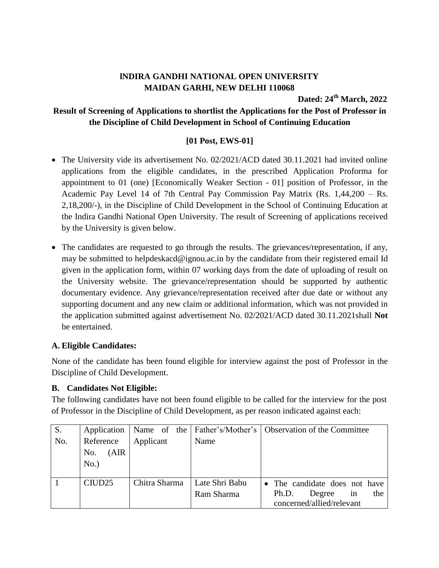# **lNDIRA GANDHI NATIONAL OPEN UNIVERSITY MAIDAN GARHI, NEW DELHI 110068**

**Dated: 24 th March, 2022**

## **Result of Screening of Applications to shortlist the Applications for the Post of Professor in the Discipline of Child Development in School of Continuing Education**

## **[01 Post, EWS-01]**

- The University vide its advertisement No. 02/2021/ACD dated 30.11.2021 had invited online applications from the eligible candidates, in the prescribed Application Proforma for appointment to 01 (one) [Economically Weaker Section - 01] position of Professor, in the Academic Pay Level 14 of 7th Central Pay Commission Pay Matrix (Rs. 1,44,200 – Rs. 2,18,200/-), in the Discipline of Child Development in the School of Continuing Education at the Indira Gandhi National Open University. The result of Screening of applications received by the University is given below.
- The candidates are requested to go through the results. The grievances/representation, if any, may be submitted to helpdeskacd@ignou.ac.in by the candidate from their registered email Id given in the application form, within 07 working days from the date of uploading of result on the University website. The grievance/representation should be supported by authentic documentary evidence. Any grievance/representation received after due date or without any supporting document and any new claim or additional information, which was not provided in the application submitted against advertisement No. 02/2021/ACD dated 30.11.2021shall **Not** be entertained.

## **A. Eligible Candidates:**

None of the candidate has been found eligible for interview against the post of Professor in the Discipline of Child Development.

## **B. Candidates Not Eligible:**

The following candidates have not been found eligible to be called for the interview for the post of Professor in the Discipline of Child Development, as per reason indicated against each:

| S.  | Application                          |               |                | Name of the   Father's/Mother's   Observation of the Committee |
|-----|--------------------------------------|---------------|----------------|----------------------------------------------------------------|
| No. | Reference<br>(AIR)<br>No.<br>$No.$ ) | Applicant     | Name           |                                                                |
|     |                                      |               |                |                                                                |
|     | CIUD <sub>25</sub>                   | Chitra Sharma | Late Shri Babu | • The candidate does not have                                  |
|     |                                      |               | Ram Sharma     | in<br>Degree<br>the<br>Ph.D.                                   |
|     |                                      |               |                | concerned/allied/relevant                                      |